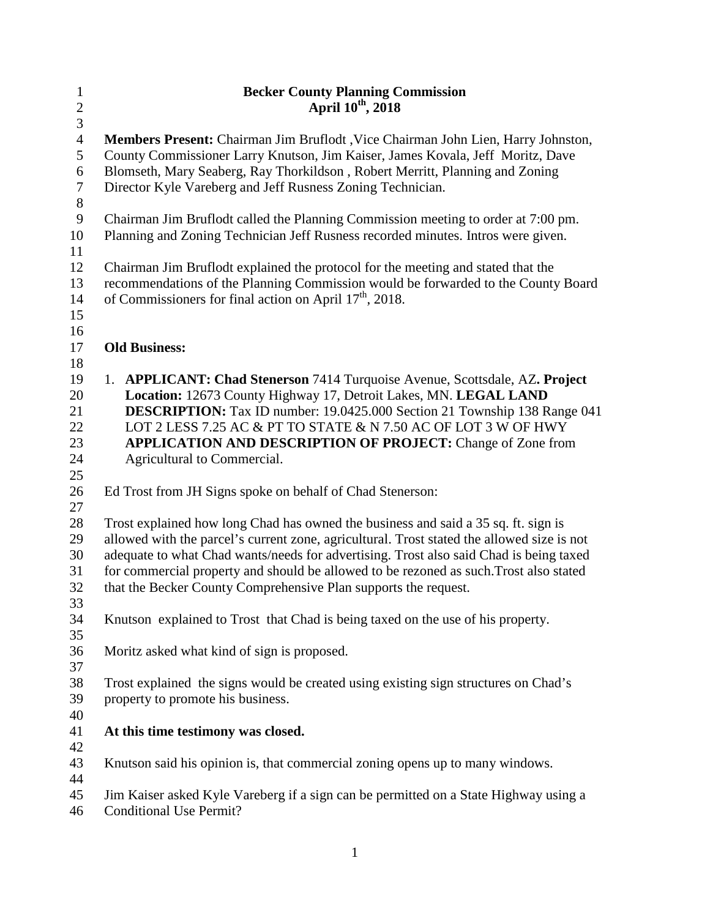| $\mathbf{1}$   | <b>Becker County Planning Commission</b>                                                   |
|----------------|--------------------------------------------------------------------------------------------|
| $\sqrt{2}$     | April 10 <sup>th</sup> , 2018                                                              |
| $\overline{3}$ |                                                                                            |
| $\overline{4}$ | Members Present: Chairman Jim Bruflodt, Vice Chairman John Lien, Harry Johnston,           |
| 5              | County Commissioner Larry Knutson, Jim Kaiser, James Kovala, Jeff Moritz, Dave             |
| $6\,$          | Blomseth, Mary Seaberg, Ray Thorkildson, Robert Merritt, Planning and Zoning               |
| $\tau$         | Director Kyle Vareberg and Jeff Rusness Zoning Technician.                                 |
| $8\,$          |                                                                                            |
| $\overline{9}$ | Chairman Jim Bruflodt called the Planning Commission meeting to order at 7:00 pm.          |
| 10             | Planning and Zoning Technician Jeff Rusness recorded minutes. Intros were given.           |
| 11             |                                                                                            |
| 12             | Chairman Jim Bruflodt explained the protocol for the meeting and stated that the           |
| 13             | recommendations of the Planning Commission would be forwarded to the County Board          |
| 14             | of Commissioners for final action on April $17th$ , 2018.                                  |
| 15             |                                                                                            |
| 16             |                                                                                            |
| 17             | <b>Old Business:</b>                                                                       |
| 18             |                                                                                            |
| 19             | 1. APPLICANT: Chad Stenerson 7414 Turquoise Avenue, Scottsdale, AZ. Project                |
| 20             | Location: 12673 County Highway 17, Detroit Lakes, MN. LEGAL LAND                           |
| 21             | <b>DESCRIPTION:</b> Tax ID number: 19.0425.000 Section 21 Township 138 Range 041           |
| $22\,$         | LOT 2 LESS 7.25 AC & PT TO STATE & N 7.50 AC OF LOT 3 W OF HWY                             |
| 23             | <b>APPLICATION AND DESCRIPTION OF PROJECT: Change of Zone from</b>                         |
|                |                                                                                            |
| 24<br>25       | Agricultural to Commercial.                                                                |
| 26             | Ed Trost from JH Signs spoke on behalf of Chad Stenerson:                                  |
| 27             |                                                                                            |
| 28             | Trost explained how long Chad has owned the business and said a 35 sq. ft. sign is         |
| 29             | allowed with the parcel's current zone, agricultural. Trost stated the allowed size is not |
| 30             | adequate to what Chad wants/needs for advertising. Trost also said Chad is being taxed     |
| 31             | for commercial property and should be allowed to be rezoned as such. Trost also stated     |
| 32             | that the Becker County Comprehensive Plan supports the request.                            |
| 33             |                                                                                            |
| 34             | Knutson explained to Trost that Chad is being taxed on the use of his property.            |
| 35             |                                                                                            |
|                |                                                                                            |
| 36             | Moritz asked what kind of sign is proposed.                                                |
| 37<br>38       | Trost explained the signs would be created using existing sign structures on Chad's        |
|                |                                                                                            |
| 39             | property to promote his business.                                                          |
| 40             |                                                                                            |
| 41             | At this time testimony was closed.                                                         |
| 42             |                                                                                            |
| 43             | Knutson said his opinion is, that commercial zoning opens up to many windows.              |
| 44             |                                                                                            |
| 45             | Jim Kaiser asked Kyle Vareberg if a sign can be permitted on a State Highway using a       |
| 46             | <b>Conditional Use Permit?</b>                                                             |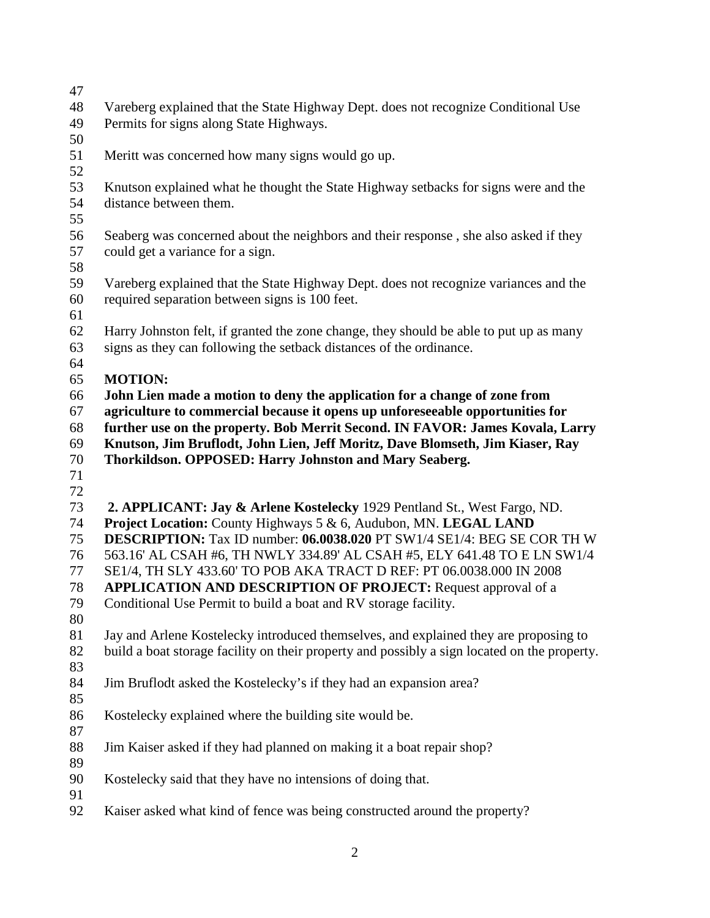| 47 |                                                                                              |  |  |
|----|----------------------------------------------------------------------------------------------|--|--|
| 48 | Vareberg explained that the State Highway Dept. does not recognize Conditional Use           |  |  |
| 49 | Permits for signs along State Highways.                                                      |  |  |
| 50 |                                                                                              |  |  |
| 51 | Meritt was concerned how many signs would go up.                                             |  |  |
| 52 |                                                                                              |  |  |
| 53 | Knutson explained what he thought the State Highway setbacks for signs were and the          |  |  |
| 54 | distance between them.                                                                       |  |  |
| 55 |                                                                                              |  |  |
| 56 | Seaberg was concerned about the neighbors and their response, she also asked if they         |  |  |
| 57 | could get a variance for a sign.                                                             |  |  |
| 58 |                                                                                              |  |  |
| 59 | Vareberg explained that the State Highway Dept. does not recognize variances and the         |  |  |
| 60 | required separation between signs is 100 feet.                                               |  |  |
| 61 |                                                                                              |  |  |
| 62 | Harry Johnston felt, if granted the zone change, they should be able to put up as many       |  |  |
| 63 | signs as they can following the setback distances of the ordinance.                          |  |  |
| 64 |                                                                                              |  |  |
| 65 | <b>MOTION:</b>                                                                               |  |  |
| 66 | John Lien made a motion to deny the application for a change of zone from                    |  |  |
| 67 | agriculture to commercial because it opens up unforeseeable opportunities for                |  |  |
| 68 | further use on the property. Bob Merrit Second. IN FAVOR: James Kovala, Larry                |  |  |
| 69 | Knutson, Jim Bruflodt, John Lien, Jeff Moritz, Dave Blomseth, Jim Kiaser, Ray                |  |  |
| 70 | Thorkildson. OPPOSED: Harry Johnston and Mary Seaberg.                                       |  |  |
| 71 |                                                                                              |  |  |
| 72 |                                                                                              |  |  |
| 73 | 2. APPLICANT: Jay & Arlene Kostelecky 1929 Pentland St., West Fargo, ND.                     |  |  |
| 74 | Project Location: County Highways 5 & 6, Audubon, MN. LEGAL LAND                             |  |  |
| 75 | DESCRIPTION: Tax ID number: 06.0038.020 PT SW1/4 SE1/4: BEG SE COR TH W                      |  |  |
| 76 | 563.16' AL CSAH #6, TH NWLY 334.89' AL CSAH #5, ELY 641.48 TO E LN SW1/4                     |  |  |
| 77 | SE1/4, TH SLY 433.60' TO POB AKA TRACT D REF: PT 06.0038.000 IN 2008                         |  |  |
| 78 | <b>APPLICATION AND DESCRIPTION OF PROJECT:</b> Request approval of a                         |  |  |
| 79 | Conditional Use Permit to build a boat and RV storage facility.                              |  |  |
| 80 |                                                                                              |  |  |
| 81 | Jay and Arlene Kostelecky introduced themselves, and explained they are proposing to         |  |  |
| 82 | build a boat storage facility on their property and possibly a sign located on the property. |  |  |
| 83 |                                                                                              |  |  |
| 84 | Jim Bruflodt asked the Kostelecky's if they had an expansion area?                           |  |  |
| 85 |                                                                                              |  |  |
| 86 | Kostelecky explained where the building site would be.                                       |  |  |
| 87 |                                                                                              |  |  |
| 88 |                                                                                              |  |  |
| 89 |                                                                                              |  |  |
|    | Jim Kaiser asked if they had planned on making it a boat repair shop?                        |  |  |
| 90 |                                                                                              |  |  |
| 91 | Kostelecky said that they have no intensions of doing that.                                  |  |  |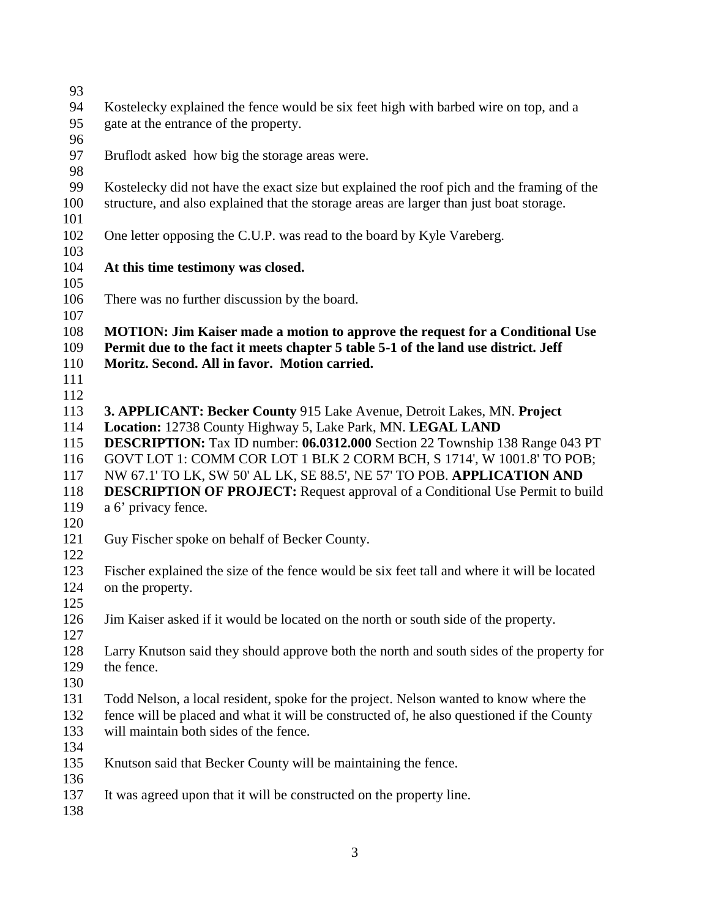| 93  |                                                                                             |  |
|-----|---------------------------------------------------------------------------------------------|--|
| 94  | Kostelecky explained the fence would be six feet high with barbed wire on top, and a        |  |
| 95  | gate at the entrance of the property.                                                       |  |
| 96  |                                                                                             |  |
| 97  | Bruflodt asked how big the storage areas were.                                              |  |
| 98  |                                                                                             |  |
| 99  | Kostelecky did not have the exact size but explained the roof pich and the framing of the   |  |
| 100 | structure, and also explained that the storage areas are larger than just boat storage.     |  |
| 101 |                                                                                             |  |
| 102 | One letter opposing the C.U.P. was read to the board by Kyle Vareberg.                      |  |
| 103 |                                                                                             |  |
| 104 | At this time testimony was closed.                                                          |  |
| 105 |                                                                                             |  |
| 106 | There was no further discussion by the board.                                               |  |
| 107 |                                                                                             |  |
| 108 | <b>MOTION: Jim Kaiser made a motion to approve the request for a Conditional Use</b>        |  |
| 109 | Permit due to the fact it meets chapter 5 table 5-1 of the land use district. Jeff          |  |
| 110 | Moritz. Second. All in favor. Motion carried.                                               |  |
| 111 |                                                                                             |  |
| 112 |                                                                                             |  |
| 113 | 3. APPLICANT: Becker County 915 Lake Avenue, Detroit Lakes, MN. Project                     |  |
| 114 | Location: 12738 County Highway 5, Lake Park, MN. LEGAL LAND                                 |  |
| 115 | <b>DESCRIPTION:</b> Tax ID number: 06.0312.000 Section 22 Township 138 Range 043 PT         |  |
| 116 | GOVT LOT 1: COMM COR LOT 1 BLK 2 CORM BCH, S 1714', W 1001.8' TO POB;                       |  |
| 117 | NW 67.1' TO LK, SW 50' AL LK, SE 88.5', NE 57' TO POB. APPLICATION AND                      |  |
| 118 | <b>DESCRIPTION OF PROJECT:</b> Request approval of a Conditional Use Permit to build        |  |
| 119 | a 6' privacy fence.                                                                         |  |
| 120 |                                                                                             |  |
| 121 | Guy Fischer spoke on behalf of Becker County.                                               |  |
| 122 |                                                                                             |  |
| 123 | Fischer explained the size of the fence would be six feet tall and where it will be located |  |
| 124 | on the property.                                                                            |  |
| 125 |                                                                                             |  |
| 126 | Jim Kaiser asked if it would be located on the north or south side of the property.         |  |
| 127 |                                                                                             |  |
| 128 | Larry Knutson said they should approve both the north and south sides of the property for   |  |
| 129 | the fence.                                                                                  |  |
| 130 |                                                                                             |  |
| 131 | Todd Nelson, a local resident, spoke for the project. Nelson wanted to know where the       |  |
| 132 | fence will be placed and what it will be constructed of, he also questioned if the County   |  |
| 133 | will maintain both sides of the fence.                                                      |  |
| 134 |                                                                                             |  |
| 135 | Knutson said that Becker County will be maintaining the fence.                              |  |
| 136 |                                                                                             |  |
| 137 | It was agreed upon that it will be constructed on the property line.                        |  |
| 138 |                                                                                             |  |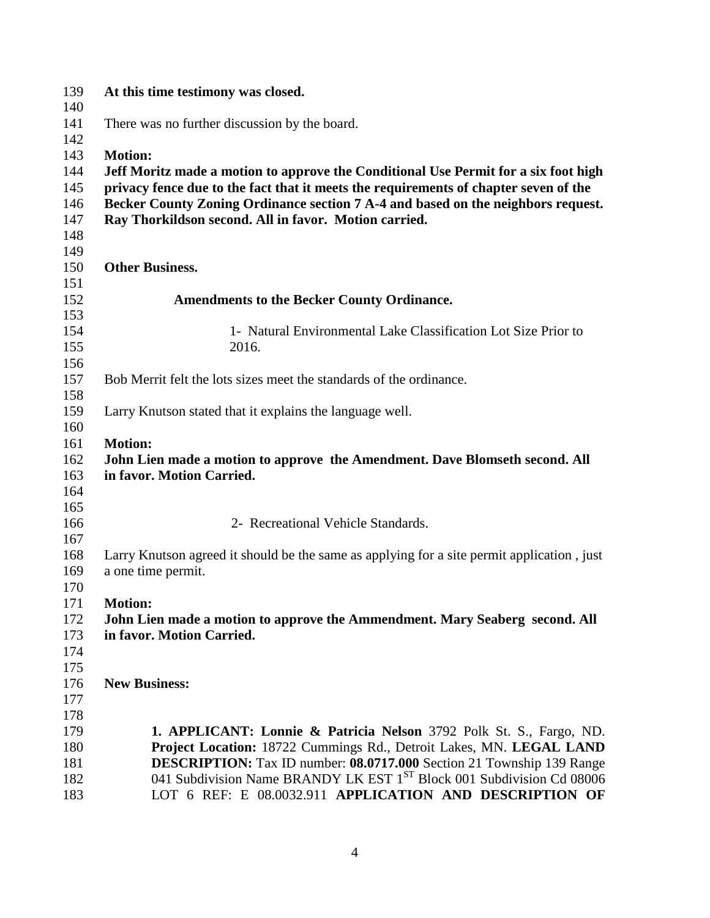| 139 | At this time testimony was closed.                                                         |  |  |  |
|-----|--------------------------------------------------------------------------------------------|--|--|--|
| 140 |                                                                                            |  |  |  |
| 141 | There was no further discussion by the board.                                              |  |  |  |
| 142 |                                                                                            |  |  |  |
| 143 | <b>Motion:</b>                                                                             |  |  |  |
| 144 | Jeff Moritz made a motion to approve the Conditional Use Permit for a six foot high        |  |  |  |
| 145 | privacy fence due to the fact that it meets the requirements of chapter seven of the       |  |  |  |
| 146 | Becker County Zoning Ordinance section 7 A-4 and based on the neighbors request.           |  |  |  |
| 147 | Ray Thorkildson second. All in favor. Motion carried.                                      |  |  |  |
| 148 |                                                                                            |  |  |  |
| 149 |                                                                                            |  |  |  |
| 150 | <b>Other Business.</b>                                                                     |  |  |  |
| 151 |                                                                                            |  |  |  |
| 152 | <b>Amendments to the Becker County Ordinance.</b>                                          |  |  |  |
| 153 |                                                                                            |  |  |  |
| 154 | 1- Natural Environmental Lake Classification Lot Size Prior to                             |  |  |  |
| 155 | 2016.                                                                                      |  |  |  |
| 156 |                                                                                            |  |  |  |
| 157 | Bob Merrit felt the lots sizes meet the standards of the ordinance.                        |  |  |  |
| 158 |                                                                                            |  |  |  |
| 159 | Larry Knutson stated that it explains the language well.                                   |  |  |  |
| 160 |                                                                                            |  |  |  |
| 161 | <b>Motion:</b>                                                                             |  |  |  |
| 162 | John Lien made a motion to approve the Amendment. Dave Blomseth second. All                |  |  |  |
| 163 | in favor. Motion Carried.                                                                  |  |  |  |
| 164 |                                                                                            |  |  |  |
| 165 |                                                                                            |  |  |  |
| 166 | 2- Recreational Vehicle Standards.                                                         |  |  |  |
| 167 |                                                                                            |  |  |  |
| 168 | Larry Knutson agreed it should be the same as applying for a site permit application, just |  |  |  |
| 169 | a one time permit.                                                                         |  |  |  |
| 170 |                                                                                            |  |  |  |
| 171 | <b>Motion:</b>                                                                             |  |  |  |
| 172 | John Lien made a motion to approve the Ammendment. Mary Seaberg second. All                |  |  |  |
| 173 | in favor. Motion Carried.                                                                  |  |  |  |
| 174 |                                                                                            |  |  |  |
| 175 |                                                                                            |  |  |  |
| 176 | <b>New Business:</b>                                                                       |  |  |  |
| 177 |                                                                                            |  |  |  |
| 178 |                                                                                            |  |  |  |
| 179 | 1. APPLICANT: Lonnie & Patricia Nelson 3792 Polk St. S., Fargo, ND.                        |  |  |  |
| 180 | Project Location: 18722 Cummings Rd., Detroit Lakes, MN. LEGAL LAND                        |  |  |  |
| 181 | DESCRIPTION: Tax ID number: 08.0717.000 Section 21 Township 139 Range                      |  |  |  |
| 182 | 041 Subdivision Name BRANDY LK EST 1 <sup>ST</sup> Block 001 Subdivision Cd 08006          |  |  |  |
| 183 | LOT 6 REF: E 08.0032.911 APPLICATION AND DESCRIPTION OF                                    |  |  |  |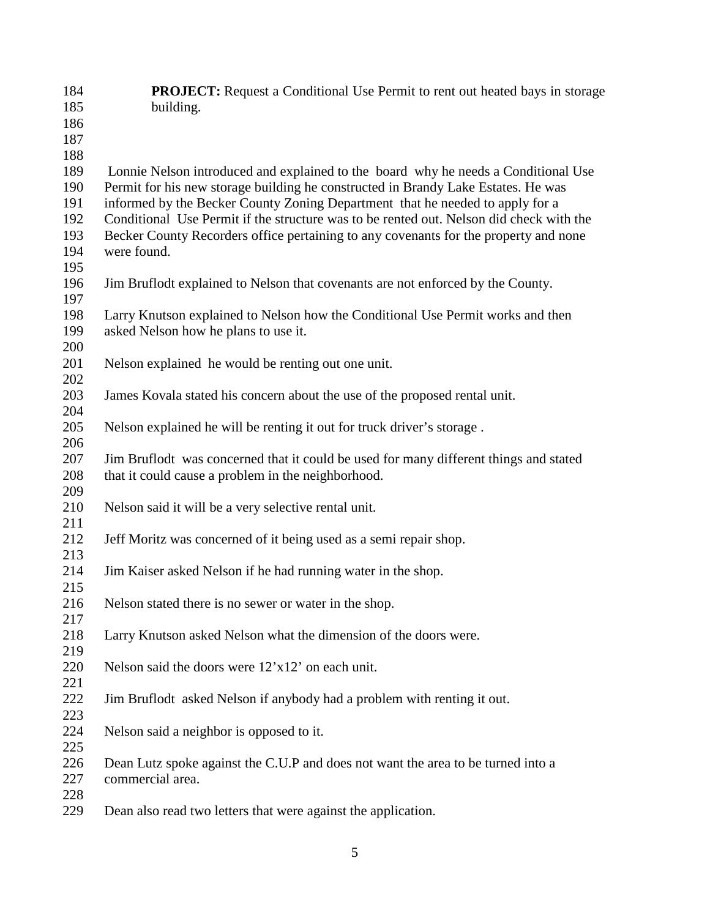| 184        | <b>PROJECT:</b> Request a Conditional Use Permit to rent out heated bays in storage                                                                                             |
|------------|---------------------------------------------------------------------------------------------------------------------------------------------------------------------------------|
| 185        | building.                                                                                                                                                                       |
| 186        |                                                                                                                                                                                 |
| 187        |                                                                                                                                                                                 |
| 188        |                                                                                                                                                                                 |
| 189        | Lonnie Nelson introduced and explained to the board why he needs a Conditional Use                                                                                              |
| 190        | Permit for his new storage building he constructed in Brandy Lake Estates. He was                                                                                               |
| 191        | informed by the Becker County Zoning Department that he needed to apply for a                                                                                                   |
| 192<br>193 | Conditional Use Permit if the structure was to be rented out. Nelson did check with the<br>Becker County Recorders office pertaining to any covenants for the property and none |
| 194        | were found.                                                                                                                                                                     |
| 195        |                                                                                                                                                                                 |
| 196        | Jim Bruflodt explained to Nelson that covenants are not enforced by the County.                                                                                                 |
| 197        |                                                                                                                                                                                 |
| 198        | Larry Knutson explained to Nelson how the Conditional Use Permit works and then                                                                                                 |
| 199        | asked Nelson how he plans to use it.                                                                                                                                            |
| 200        |                                                                                                                                                                                 |
| 201        | Nelson explained he would be renting out one unit.                                                                                                                              |
| 202        |                                                                                                                                                                                 |
| 203        | James Kovala stated his concern about the use of the proposed rental unit.                                                                                                      |
| 204        |                                                                                                                                                                                 |
| 205        | Nelson explained he will be renting it out for truck driver's storage.                                                                                                          |
| 206        |                                                                                                                                                                                 |
| 207        | Jim Bruflodt was concerned that it could be used for many different things and stated                                                                                           |
| 208        | that it could cause a problem in the neighborhood.                                                                                                                              |
| 209        |                                                                                                                                                                                 |
| 210        | Nelson said it will be a very selective rental unit.                                                                                                                            |
| 211        |                                                                                                                                                                                 |
| 212        | Jeff Moritz was concerned of it being used as a semi repair shop.                                                                                                               |
| 213        |                                                                                                                                                                                 |
| 214        | Jim Kaiser asked Nelson if he had running water in the shop.                                                                                                                    |
| 215        |                                                                                                                                                                                 |
| 216        | Nelson stated there is no sewer or water in the shop.                                                                                                                           |
| 217        |                                                                                                                                                                                 |
| 218        | Larry Knutson asked Nelson what the dimension of the doors were.                                                                                                                |
| 219        |                                                                                                                                                                                 |
|            |                                                                                                                                                                                 |
| 220        | Nelson said the doors were $12'x12'$ on each unit.                                                                                                                              |
| 221        |                                                                                                                                                                                 |
| 222        | Jim Bruflodt asked Nelson if anybody had a problem with renting it out.                                                                                                         |
| 223        |                                                                                                                                                                                 |
| 224        | Nelson said a neighbor is opposed to it.                                                                                                                                        |
| 225        |                                                                                                                                                                                 |
| 226        | Dean Lutz spoke against the C.U.P and does not want the area to be turned into a                                                                                                |
| 227        | commercial area.                                                                                                                                                                |
| 228        |                                                                                                                                                                                 |
| 229        | Dean also read two letters that were against the application.                                                                                                                   |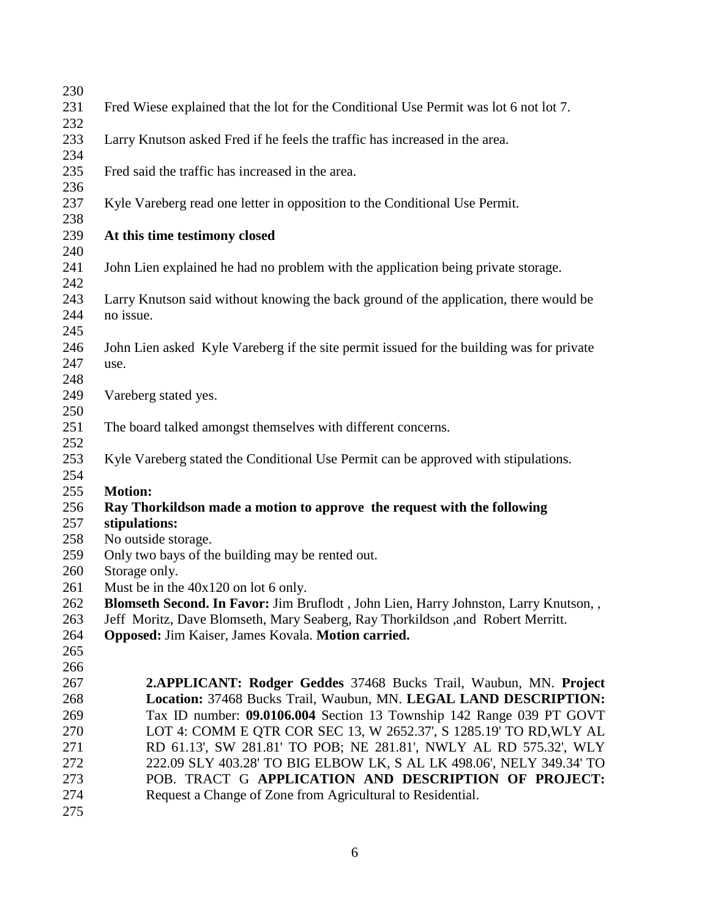| 230        |                                                                                                                                      |  |  |
|------------|--------------------------------------------------------------------------------------------------------------------------------------|--|--|
| 231        | Fred Wiese explained that the lot for the Conditional Use Permit was lot 6 not lot 7.                                                |  |  |
| 232        |                                                                                                                                      |  |  |
| 233        | Larry Knutson asked Fred if he feels the traffic has increased in the area.                                                          |  |  |
| 234        |                                                                                                                                      |  |  |
| 235        | Fred said the traffic has increased in the area.                                                                                     |  |  |
| 236        |                                                                                                                                      |  |  |
| 237        | Kyle Vareberg read one letter in opposition to the Conditional Use Permit.                                                           |  |  |
| 238        |                                                                                                                                      |  |  |
| 239        | At this time testimony closed                                                                                                        |  |  |
| 240        |                                                                                                                                      |  |  |
| 241        | John Lien explained he had no problem with the application being private storage.                                                    |  |  |
| 242        |                                                                                                                                      |  |  |
| 243        | Larry Knutson said without knowing the back ground of the application, there would be                                                |  |  |
| 244        | no issue.                                                                                                                            |  |  |
| 245        |                                                                                                                                      |  |  |
| 246        |                                                                                                                                      |  |  |
| 247        | John Lien asked Kyle Vareberg if the site permit issued for the building was for private                                             |  |  |
| 248        | use.                                                                                                                                 |  |  |
| 249        |                                                                                                                                      |  |  |
| 250        | Vareberg stated yes.                                                                                                                 |  |  |
|            |                                                                                                                                      |  |  |
| 251<br>252 | The board talked amongst themselves with different concerns.                                                                         |  |  |
| 253        | Kyle Vareberg stated the Conditional Use Permit can be approved with stipulations.                                                   |  |  |
| 254        |                                                                                                                                      |  |  |
| 255        | <b>Motion:</b>                                                                                                                       |  |  |
| 256        | Ray Thorkildson made a motion to approve the request with the following                                                              |  |  |
| 257        | stipulations:                                                                                                                        |  |  |
| 258        | No outside storage.                                                                                                                  |  |  |
| 259        | Only two bays of the building may be rented out.                                                                                     |  |  |
| 260        | Storage only.                                                                                                                        |  |  |
| 261        | Must be in the $40x120$ on lot 6 only.                                                                                               |  |  |
| 262        | Blomseth Second. In Favor: Jim Bruflodt, John Lien, Harry Johnston, Larry Knutson,,                                                  |  |  |
| 263        |                                                                                                                                      |  |  |
| 264        | Jeff Moritz, Dave Blomseth, Mary Seaberg, Ray Thorkildson, and Robert Merritt.<br>Opposed: Jim Kaiser, James Kovala. Motion carried. |  |  |
| 265        |                                                                                                                                      |  |  |
|            |                                                                                                                                      |  |  |
| 266<br>267 |                                                                                                                                      |  |  |
|            | <b>2.APPLICANT: Rodger Geddes</b> 37468 Bucks Trail, Waubun, MN. Project                                                             |  |  |
| 268        | Location: 37468 Bucks Trail, Waubun, MN. LEGAL LAND DESCRIPTION:                                                                     |  |  |
| 269        | Tax ID number: 09.0106.004 Section 13 Township 142 Range 039 PT GOVT                                                                 |  |  |
| 270        | LOT 4: COMM E QTR COR SEC 13, W 2652.37', S 1285.19' TO RD, WLY AL                                                                   |  |  |
| 271        | RD 61.13', SW 281.81' TO POB; NE 281.81', NWLY AL RD 575.32', WLY                                                                    |  |  |
| 272        | 222.09 SLY 403.28' TO BIG ELBOW LK, S AL LK 498.06', NELY 349.34' TO                                                                 |  |  |
| 273        | POB. TRACT G APPLICATION AND DESCRIPTION OF PROJECT:                                                                                 |  |  |
| 274        | Request a Change of Zone from Agricultural to Residential.                                                                           |  |  |
| 275        |                                                                                                                                      |  |  |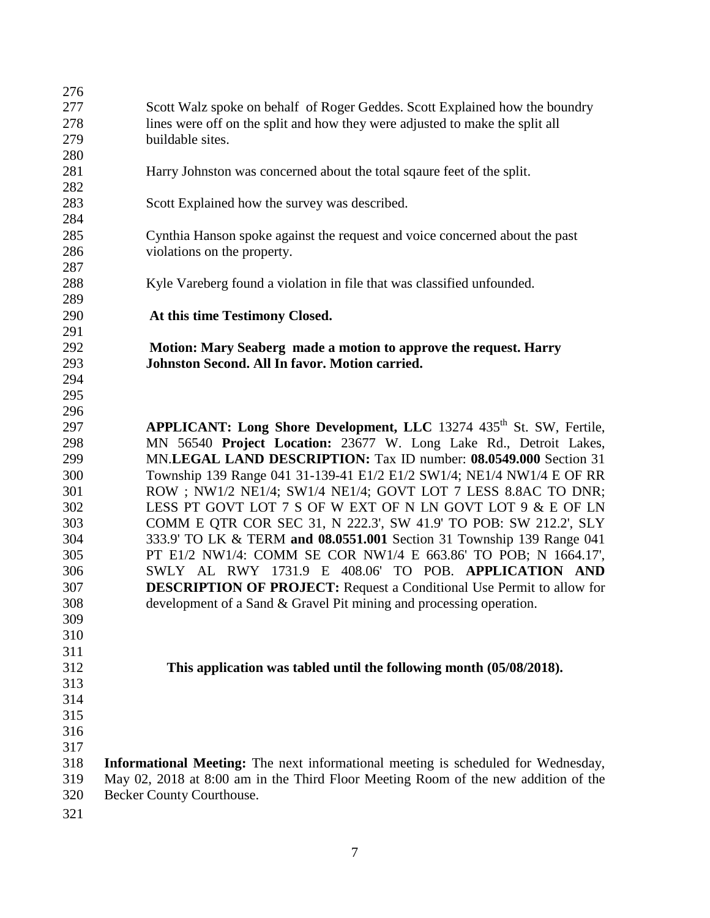| 276 |                                                                                          |  |
|-----|------------------------------------------------------------------------------------------|--|
| 277 | Scott Walz spoke on behalf of Roger Geddes. Scott Explained how the boundry              |  |
| 278 | lines were off on the split and how they were adjusted to make the split all             |  |
| 279 | buildable sites.                                                                         |  |
| 280 |                                                                                          |  |
| 281 | Harry Johnston was concerned about the total sqaure feet of the split.                   |  |
| 282 |                                                                                          |  |
| 283 | Scott Explained how the survey was described.                                            |  |
| 284 |                                                                                          |  |
| 285 | Cynthia Hanson spoke against the request and voice concerned about the past              |  |
| 286 | violations on the property.                                                              |  |
| 287 |                                                                                          |  |
| 288 | Kyle Vareberg found a violation in file that was classified unfounded.                   |  |
| 289 |                                                                                          |  |
| 290 | At this time Testimony Closed.                                                           |  |
| 291 |                                                                                          |  |
| 292 | Motion: Mary Seaberg made a motion to approve the request. Harry                         |  |
| 293 | Johnston Second. All In favor. Motion carried.                                           |  |
| 294 |                                                                                          |  |
| 295 |                                                                                          |  |
| 296 |                                                                                          |  |
| 297 | APPLICANT: Long Shore Development, LLC 13274 435 <sup>th</sup> St. SW, Fertile,          |  |
| 298 | MN 56540 Project Location: 23677 W. Long Lake Rd., Detroit Lakes,                        |  |
| 299 | MN.LEGAL LAND DESCRIPTION: Tax ID number: 08.0549.000 Section 31                         |  |
| 300 | Township 139 Range 041 31-139-41 E1/2 E1/2 SW1/4; NE1/4 NW1/4 E OF RR                    |  |
| 301 | ROW; NW1/2 NE1/4; SW1/4 NE1/4; GOVT LOT 7 LESS 8.8AC TO DNR;                             |  |
| 302 | LESS PT GOVT LOT 7 S OF W EXT OF N LN GOVT LOT 9 & E OF LN                               |  |
| 303 | COMM E QTR COR SEC 31, N 222.3', SW 41.9' TO POB: SW 212.2', SLY                         |  |
| 304 | 333.9' TO LK & TERM and 08.0551.001 Section 31 Township 139 Range 041                    |  |
| 305 | PT E1/2 NW1/4: COMM SE COR NW1/4 E 663.86' TO POB; N 1664.17',                           |  |
| 306 | SWLY AL RWY 1731.9 E 408.06' TO POB. APPLICATION AND                                     |  |
| 307 | <b>DESCRIPTION OF PROJECT:</b> Request a Conditional Use Permit to allow for             |  |
| 308 | development of a Sand & Gravel Pit mining and processing operation.                      |  |
| 309 |                                                                                          |  |
| 310 |                                                                                          |  |
| 311 |                                                                                          |  |
| 312 | This application was tabled until the following month (05/08/2018).                      |  |
| 313 |                                                                                          |  |
| 314 |                                                                                          |  |
| 315 |                                                                                          |  |
| 316 |                                                                                          |  |
| 317 |                                                                                          |  |
| 318 | <b>Informational Meeting:</b> The next informational meeting is scheduled for Wednesday, |  |
| 319 | May 02, 2018 at 8:00 am in the Third Floor Meeting Room of the new addition of the       |  |
| 320 | Becker County Courthouse.                                                                |  |
| 221 |                                                                                          |  |

321